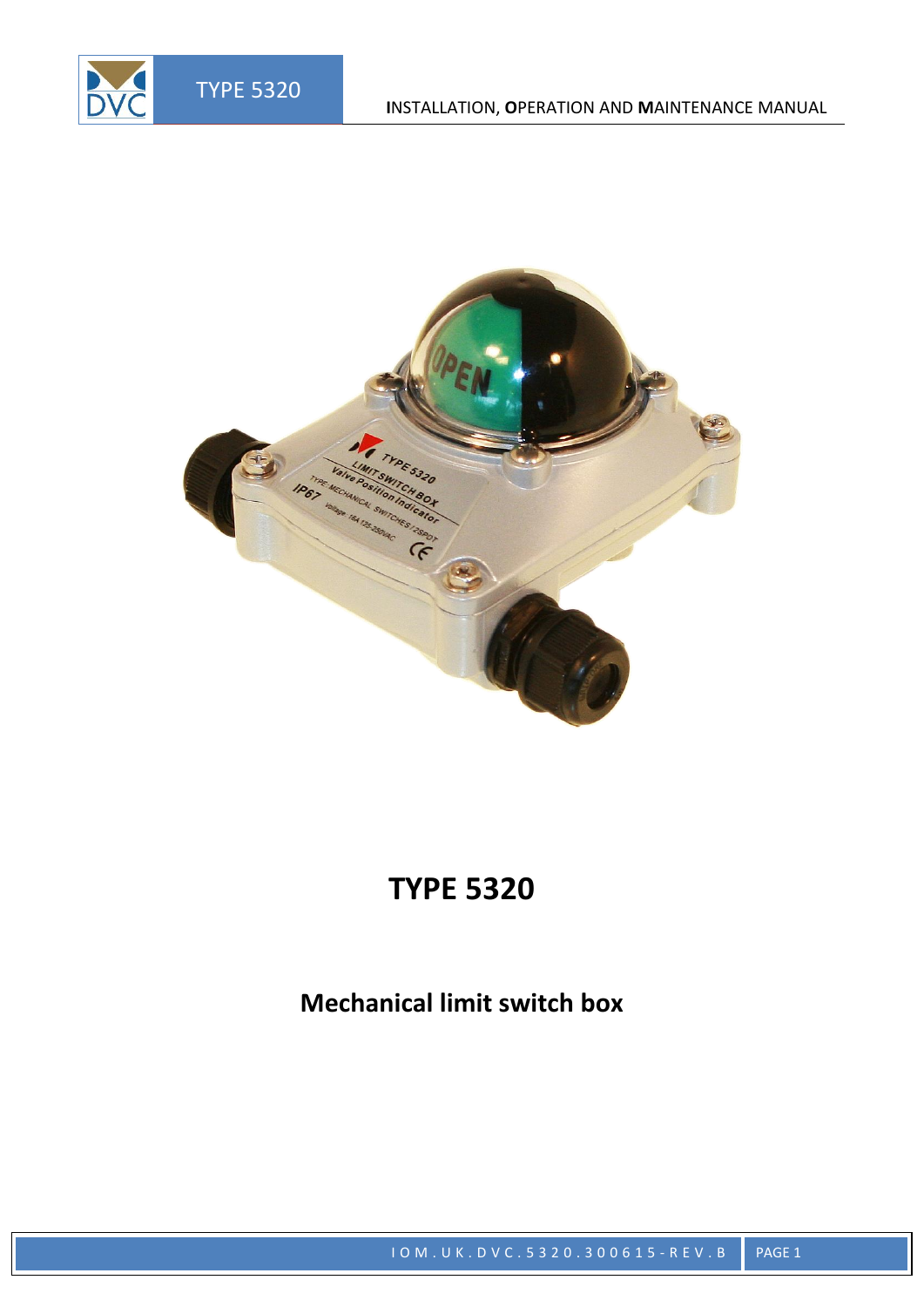DVC



# **TYPE 5320**

**Mechanical limit switch box**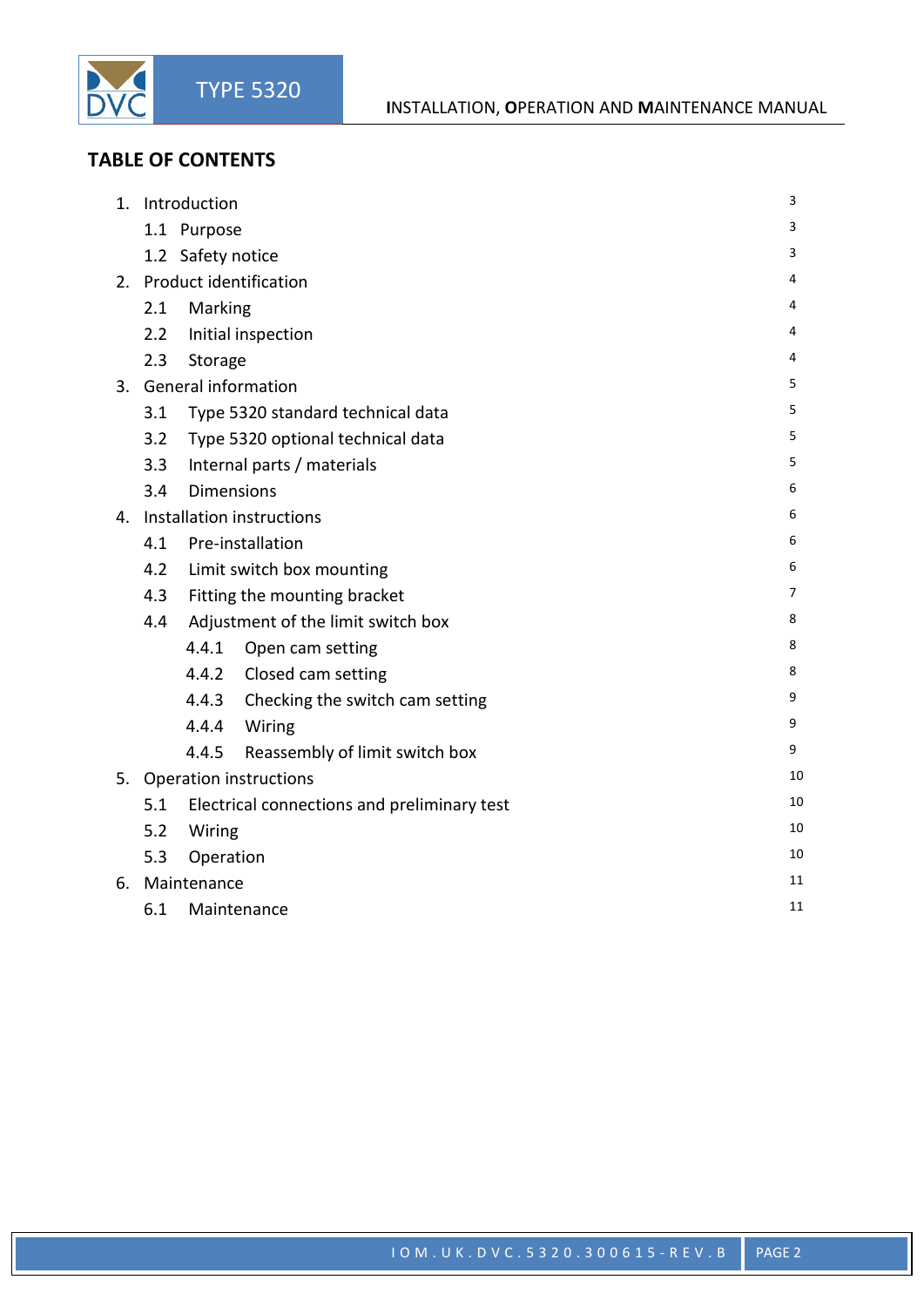### **TABLE OF CONTENTS**

DVC

| 1. | Introduction                        |                                             |                                       |   | 3  |  |
|----|-------------------------------------|---------------------------------------------|---------------------------------------|---|----|--|
|    |                                     | 1.1 Purpose                                 |                                       |   | 3  |  |
|    | 1.2 Safety notice                   |                                             |                                       |   |    |  |
|    | 2. Product identification           |                                             |                                       |   |    |  |
|    | Marking<br>2.1                      |                                             |                                       |   |    |  |
|    | 2.2                                 | Initial inspection                          |                                       |   |    |  |
|    | 2.3                                 | Storage                                     |                                       |   |    |  |
|    | 3. General information              |                                             |                                       |   |    |  |
|    | 3.1                                 | Type 5320 standard technical data           |                                       |   |    |  |
|    | 3.2                                 | Type 5320 optional technical data           |                                       |   |    |  |
|    | 3.3                                 | Internal parts / materials                  |                                       |   |    |  |
|    | 3.4                                 | <b>Dimensions</b>                           |                                       |   | 6  |  |
|    | 4. Installation instructions        |                                             |                                       |   |    |  |
|    |                                     | 4.1 Pre-installation                        |                                       |   | 6  |  |
|    | Limit switch box mounting<br>4.2    |                                             |                                       | 6 |    |  |
|    | Fitting the mounting bracket<br>4.3 |                                             |                                       |   | 7  |  |
|    | 4.4                                 |                                             | Adjustment of the limit switch box    | 8 |    |  |
|    |                                     | 4.4.1                                       | Open cam setting                      | 8 |    |  |
|    |                                     |                                             | 4.4.2 Closed cam setting              | 8 |    |  |
|    |                                     |                                             | 4.4.3 Checking the switch cam setting | 9 |    |  |
|    |                                     |                                             | 4.4.4 Wiring                          | 9 |    |  |
|    |                                     | 4.4.5                                       | Reassembly of limit switch box        |   | 9  |  |
|    | 5. Operation instructions           |                                             |                                       |   |    |  |
|    | 5.1                                 | Electrical connections and preliminary test |                                       |   | 10 |  |
|    | Wiring<br>5.2                       |                                             |                                       |   | 10 |  |
|    | 5.3<br>Operation                    |                                             |                                       |   | 10 |  |
| 6. | Maintenance                         |                                             |                                       |   |    |  |
|    | 6.1<br>Maintenance                  |                                             |                                       |   | 11 |  |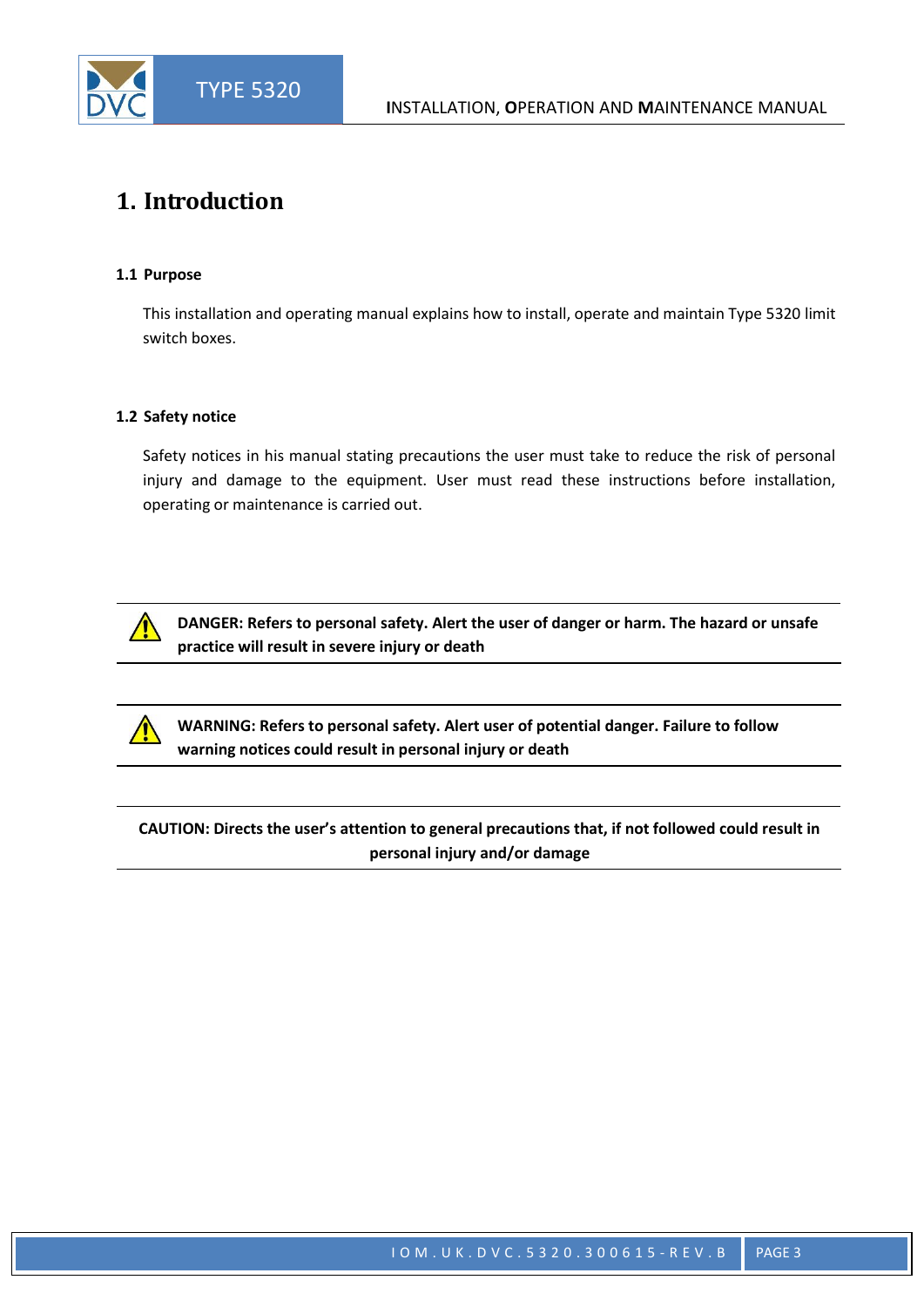

### **1. Introduction**

#### **1.1 Purpose**

This installation and operating manual explains how to install, operate and maintain Type 5320 limit switch boxes.

#### **1.2 Safety notice**

Safety notices in his manual stating precautions the user must take to reduce the risk of personal injury and damage to the equipment. User must read these instructions before installation, operating or maintenance is carried out.



**DANGER: Refers to personal safety. Alert the user of danger or harm. The hazard or unsafe practice will result in severe injury or death**

**WARNING: Refers to personal safety. Alert user of potential danger. Failure to follow warning notices could result in personal injury or death**

**CAUTION: Directs the user's attention to general precautions that, if not followed could result in personal injury and/or damage**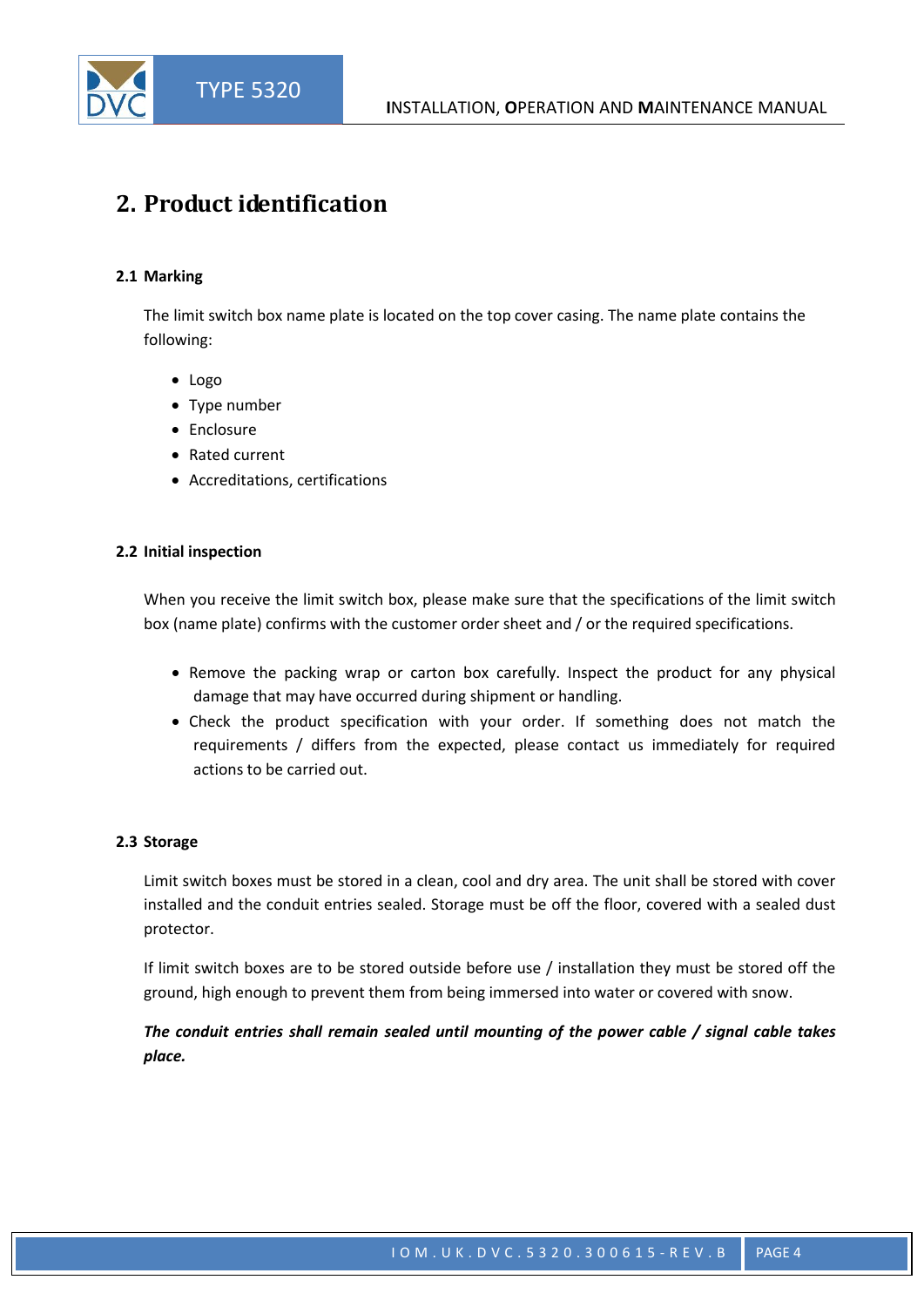## **2. Product identification**

#### **2.1 Marking**

The limit switch box name plate is located on the top cover casing. The name plate contains the following:

- Logo
- Type number
- Enclosure
- Rated current
- Accreditations, certifications

#### **2.2 Initial inspection**

When you receive the limit switch box, please make sure that the specifications of the limit switch box (name plate) confirms with the customer order sheet and / or the required specifications.

- Remove the packing wrap or carton box carefully. Inspect the product for any physical damage that may have occurred during shipment or handling.
- Check the product specification with your order. If something does not match the requirements / differs from the expected, please contact us immediately for required actions to be carried out.

#### **2.3 Storage**

Limit switch boxes must be stored in a clean, cool and dry area. The unit shall be stored with cover installed and the conduit entries sealed. Storage must be off the floor, covered with a sealed dust protector.

If limit switch boxes are to be stored outside before use / installation they must be stored off the ground, high enough to prevent them from being immersed into water or covered with snow.

#### *The conduit entries shall remain sealed until mounting of the power cable / signal cable takes place.*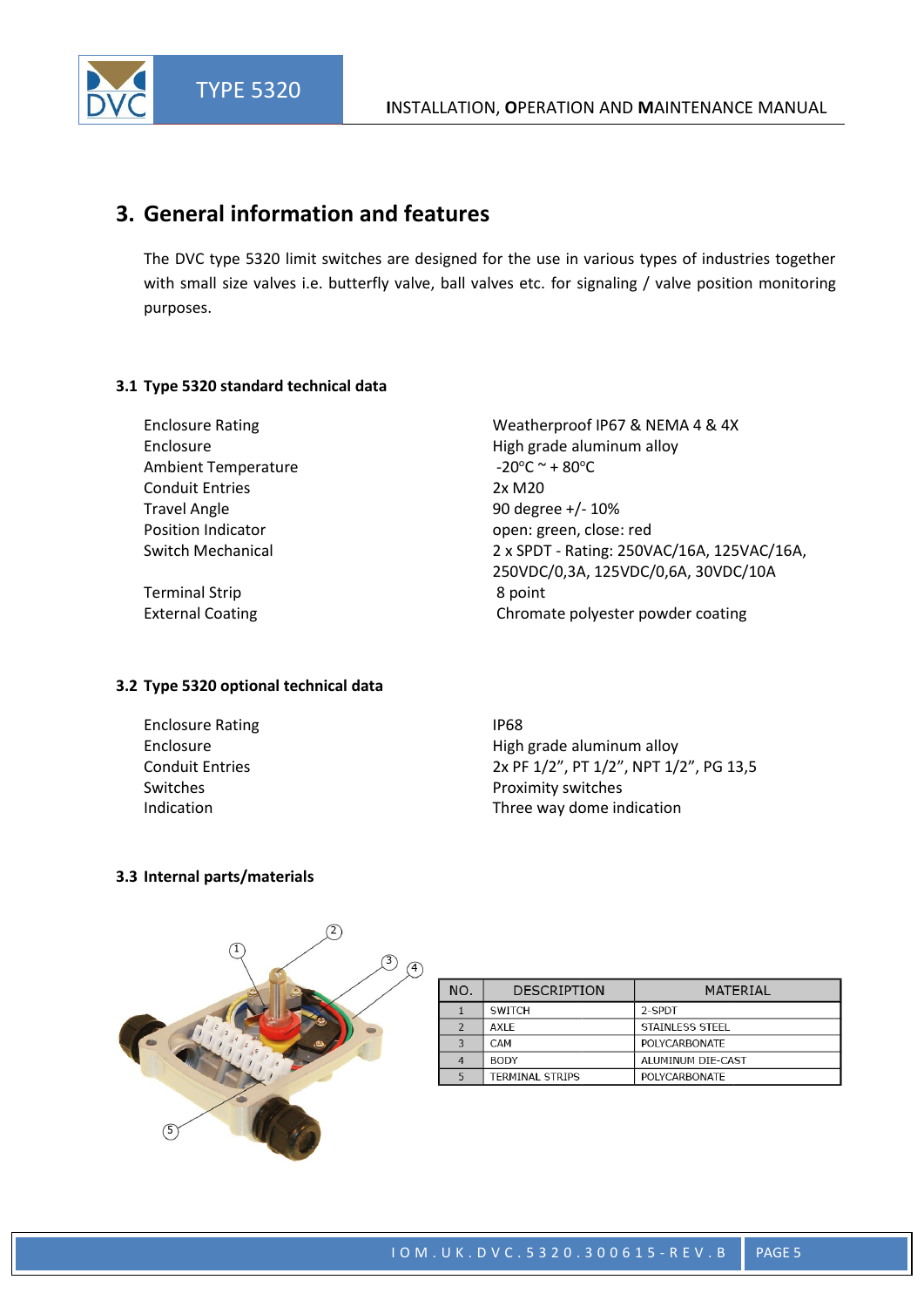### **3. General information and features**

The DVC type 5320 limit switches are designed for the use in various types of industries together with small size valves i.e. butterfly valve, ball valves etc. for signaling / valve position monitoring purposes.

-20 $\mathrm{^{\circ}C} \sim +80\mathrm{^{\circ}C}$ 

#### **3.1 Type 5320 standard technical data**

Enclosure Rating Weatherproof IP67 & NEMA 4 & 4X Enclosure **Enclosure High grade aluminum alloy** Ambient Temperature Conduit Entries 2x M20 Travel Angle 10 and 10 and 10 and 10 and 10 and 10 and 10 and 10 and 10 and 10 and 10 and 10 and 10 and 10 and 10 and 10 and 10 and 10 and 10 and 10 and 10 and 10 and 10 and 10 and 10 and 10 and 10 and 10 and 10 and 10 and Position Indicator **Discrete Server Contains Containers** open: green, close: red Switch Mechanical 2 x SPDT - Rating: 250VAC/16A, 125VAC/16A,

Terminal Strip **8 point** 8 point

#### **3.2 Type 5320 optional technical data**

Enclosure Rating IP68

250VDC/0,3A, 125VDC/0,6A, 30VDC/10A External Coating Chromate polyester powder coating Chromate polyester powder coating

Enclosure **Enclosure High grade aluminum alloy** Conduit Entries 2x PF 1/2", PT 1/2", NPT 1/2", PG 13,5 Switches **Switches Proximity switches** Indication **Indication** Three way dome indication

#### **3.3 Internal parts/materials**



| <b>DESCRIPTION</b><br>NO.<br>MATERIAL<br>2-SPDT<br><b>SWITCH</b><br>AXI F<br>STAINLESS STEEL<br>$\mathcal{P}$<br>3<br>POLYCARBONATE<br>CAM |  |  |  |  |  |  |
|--------------------------------------------------------------------------------------------------------------------------------------------|--|--|--|--|--|--|
|                                                                                                                                            |  |  |  |  |  |  |
|                                                                                                                                            |  |  |  |  |  |  |
|                                                                                                                                            |  |  |  |  |  |  |
|                                                                                                                                            |  |  |  |  |  |  |
| <b>BODY</b><br>ALUMINUM DIE-CAST<br>4                                                                                                      |  |  |  |  |  |  |
| <b>TERMINAL STRIPS</b><br><b>POLYCARBONATE</b>                                                                                             |  |  |  |  |  |  |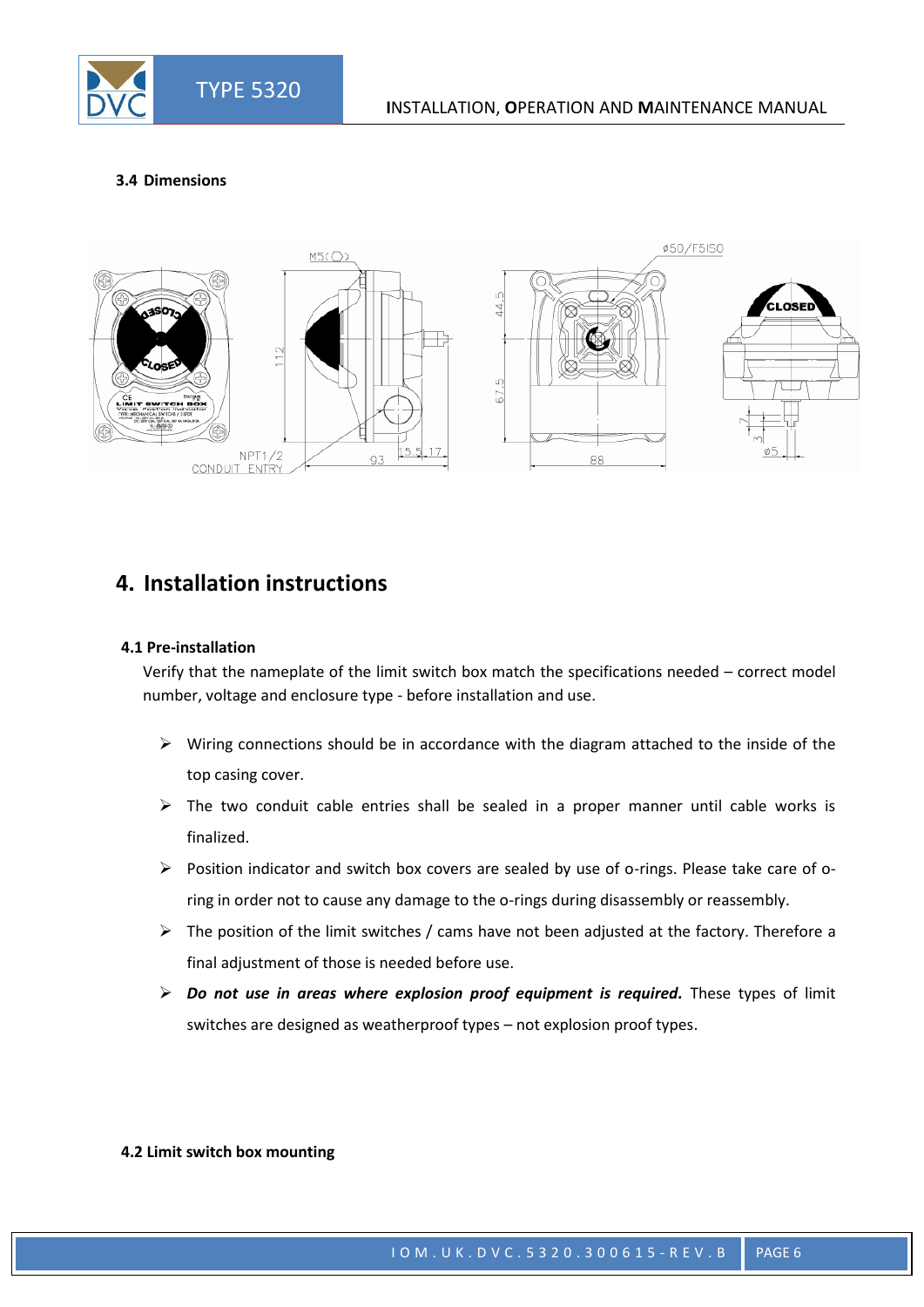#### **3.4 Dimensions**



### **4. Installation instructions**

#### **4.1 Pre-installation**

Verify that the nameplate of the limit switch box match the specifications needed – correct model number, voltage and enclosure type - before installation and use.

- $\triangleright$  Wiring connections should be in accordance with the diagram attached to the inside of the top casing cover.
- $\triangleright$  The two conduit cable entries shall be sealed in a proper manner until cable works is finalized.
- Position indicator and switch box covers are sealed by use of o-rings. Please take care of oring in order not to cause any damage to the o-rings during disassembly or reassembly.
- $\triangleright$  The position of the limit switches / cams have not been adjusted at the factory. Therefore a final adjustment of those is needed before use.
- *Do not use in areas where explosion proof equipment is required.* These types of limit switches are designed as weatherproof types – not explosion proof types.

#### **4.2 Limit switch box mounting**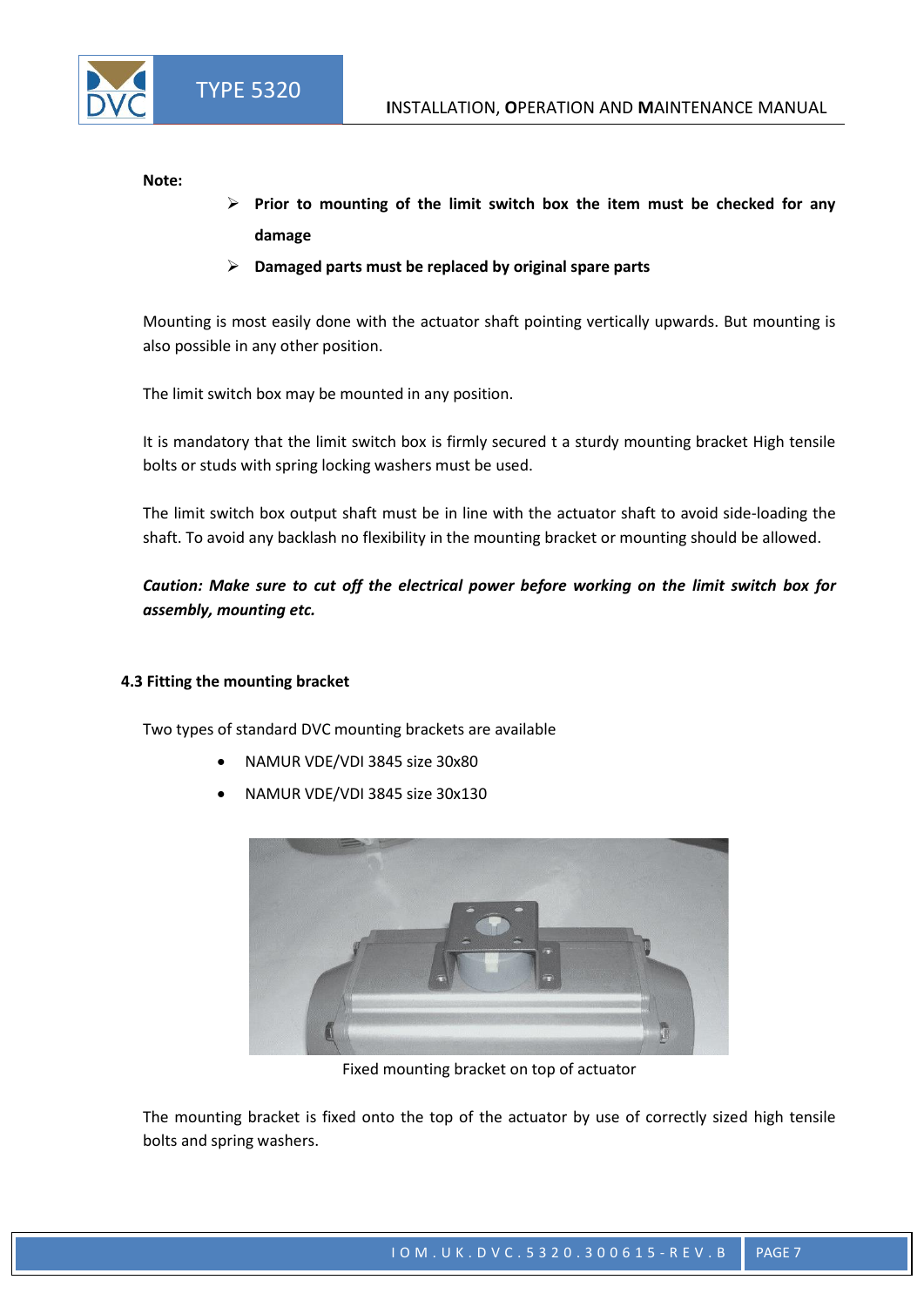**Note:**

- **Prior to mounting of the limit switch box the item must be checked for any damage**
- **Damaged parts must be replaced by original spare parts**

Mounting is most easily done with the actuator shaft pointing vertically upwards. But mounting is also possible in any other position.

The limit switch box may be mounted in any position.

It is mandatory that the limit switch box is firmly secured t a sturdy mounting bracket High tensile bolts or studs with spring locking washers must be used.

The limit switch box output shaft must be in line with the actuator shaft to avoid side-loading the shaft. To avoid any backlash no flexibility in the mounting bracket or mounting should be allowed.

*Caution: Make sure to cut off the electrical power before working on the limit switch box for assembly, mounting etc.*

#### **4.3 Fitting the mounting bracket**

Two types of standard DVC mounting brackets are available

- NAMUR VDE/VDI 3845 size 30x80
- NAMUR VDE/VDI 3845 size 30x130



Fixed mounting bracket on top of actuator

The mounting bracket is fixed onto the top of the actuator by use of correctly sized high tensile bolts and spring washers.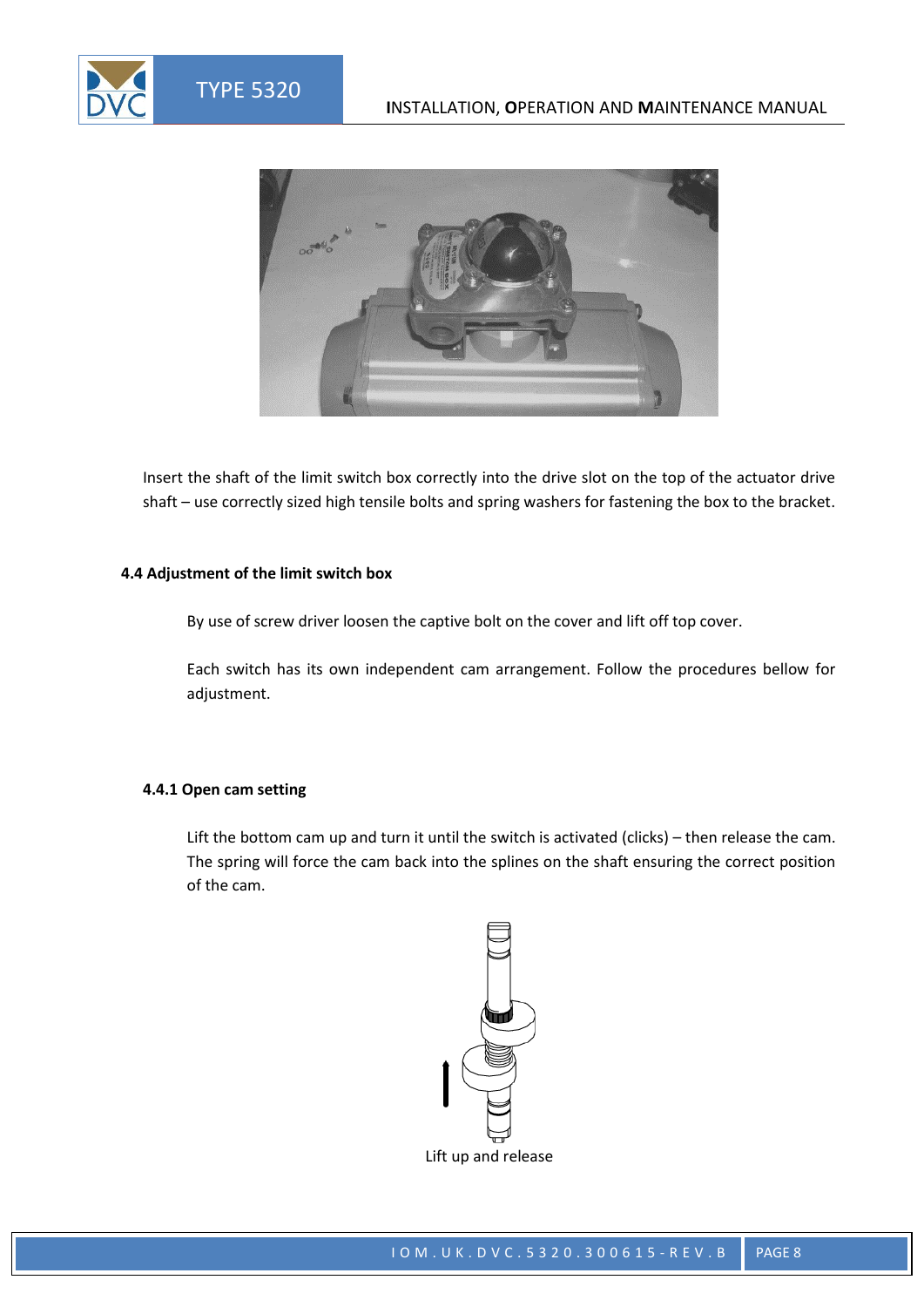

Insert the shaft of the limit switch box correctly into the drive slot on the top of the actuator drive shaft – use correctly sized high tensile bolts and spring washers for fastening the box to the bracket.

#### **4.4 Adjustment of the limit switch box**

By use of screw driver loosen the captive bolt on the cover and lift off top cover.

Each switch has its own independent cam arrangement. Follow the procedures bellow for adjustment.

#### **4.4.1 Open cam setting**

Lift the bottom cam up and turn it until the switch is activated (clicks) – then release the cam. The spring will force the cam back into the splines on the shaft ensuring the correct position of the cam.

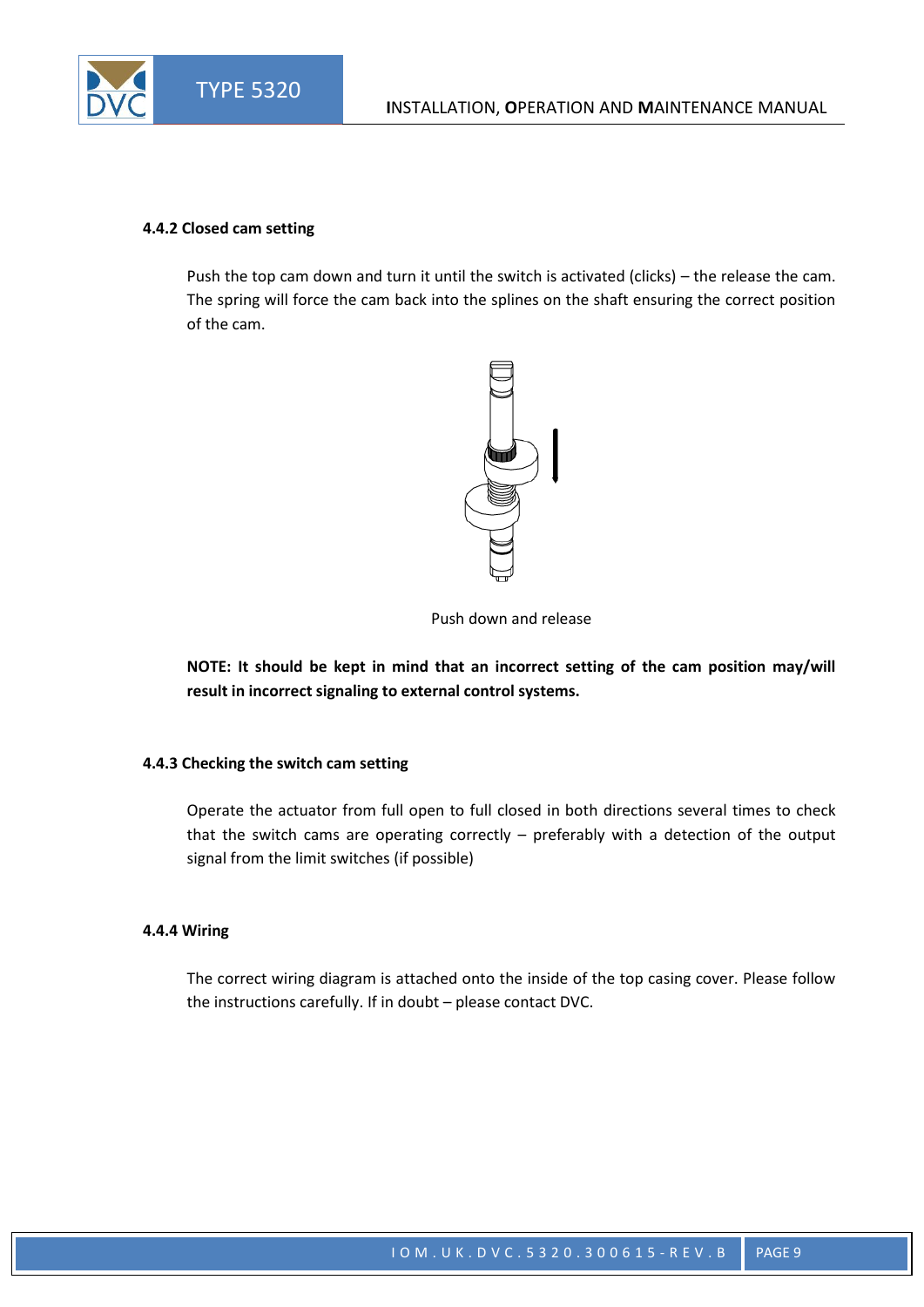#### **4.4.2 Closed cam setting**

Push the top cam down and turn it until the switch is activated (clicks) – the release the cam. The spring will force the cam back into the splines on the shaft ensuring the correct position of the cam.



Push down and release

**NOTE: It should be kept in mind that an incorrect setting of the cam position may/will result in incorrect signaling to external control systems.**

#### **4.4.3 Checking the switch cam setting**

Operate the actuator from full open to full closed in both directions several times to check that the switch cams are operating correctly – preferably with a detection of the output signal from the limit switches (if possible)

#### **4.4.4 Wiring**

The correct wiring diagram is attached onto the inside of the top casing cover. Please follow the instructions carefully. If in doubt – please contact DVC.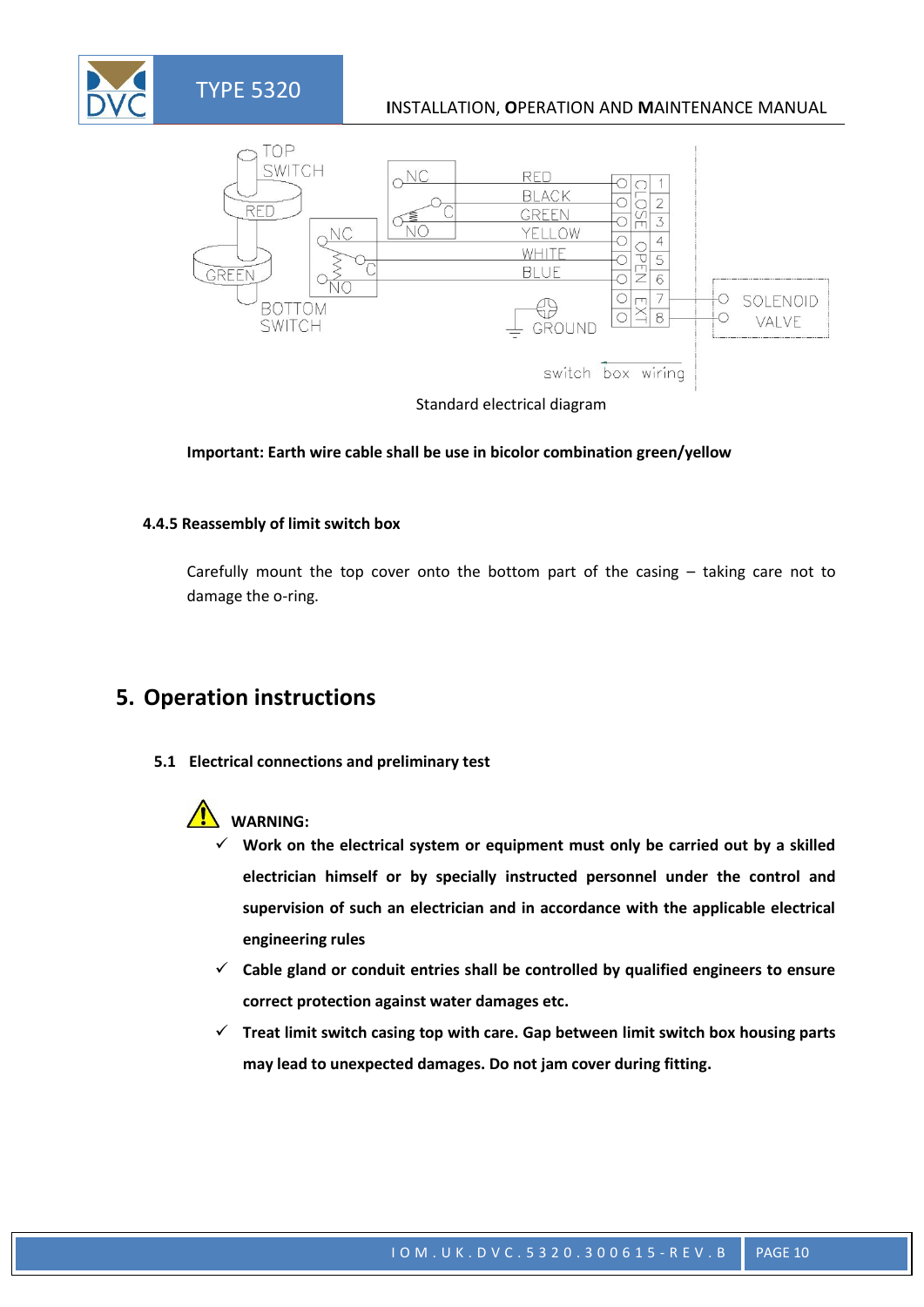#### **I**NSTALLATION, **O**PERATION AND **M**AINTENANCE MANUAL



Standard electrical diagram

#### **Important: Earth wire cable shall be use in bicolor combination green/yellow**

#### **4.4.5 Reassembly of limit switch box**

Carefully mount the top cover onto the bottom part of the casing – taking care not to damage the o-ring.

### **5. Operation instructions**

**5.1 Electrical connections and preliminary test**



- **Work on the electrical system or equipment must only be carried out by a skilled electrician himself or by specially instructed personnel under the control and supervision of such an electrician and in accordance with the applicable electrical engineering rules**
- **Cable gland or conduit entries shall be controlled by qualified engineers to ensure correct protection against water damages etc.**
- **Treat limit switch casing top with care. Gap between limit switch box housing parts may lead to unexpected damages. Do not jam cover during fitting.**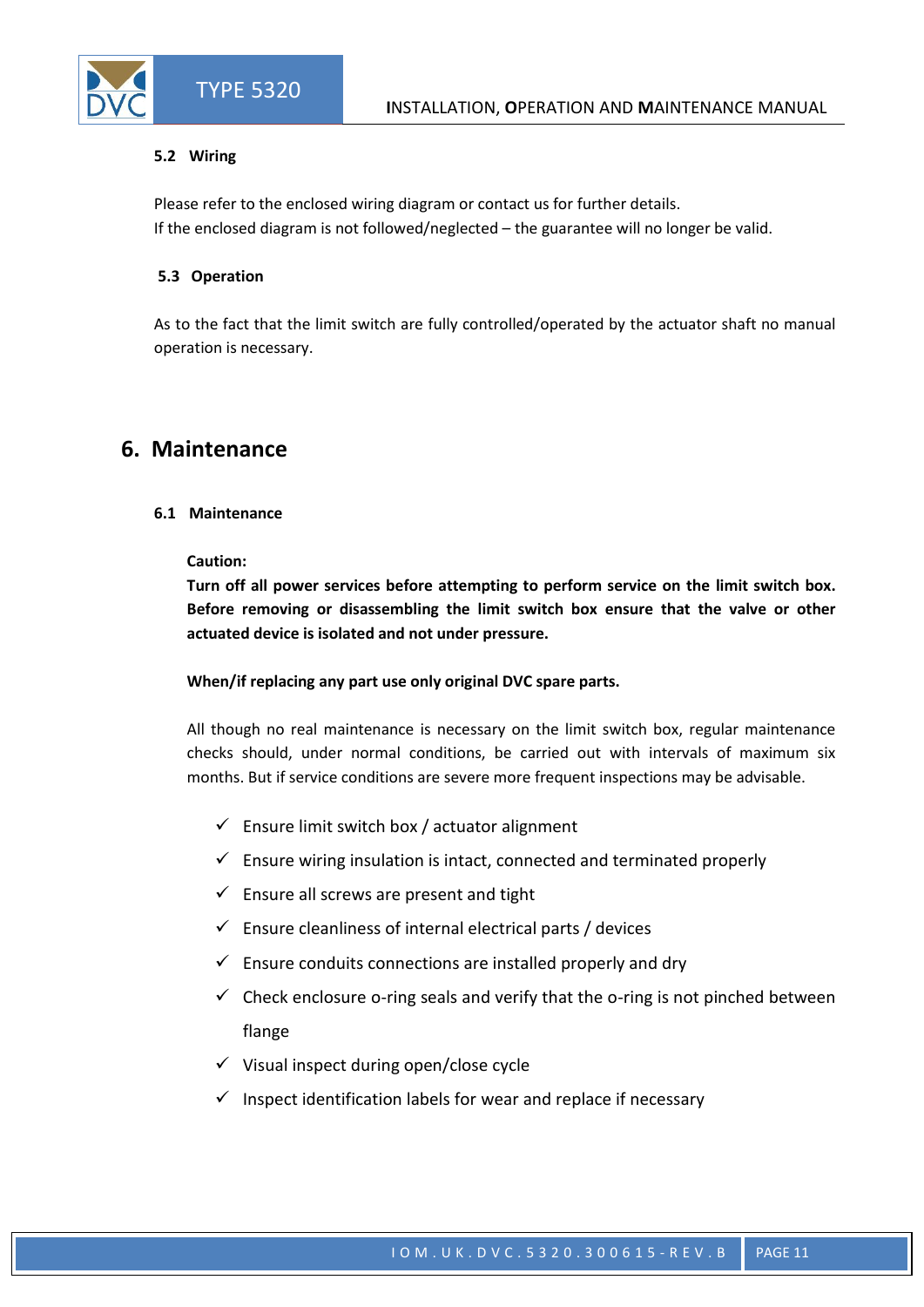#### **5.2 Wiring**

Please refer to the enclosed wiring diagram or contact us for further details. If the enclosed diagram is not followed/neglected – the guarantee will no longer be valid.

#### **5.3 Operation**

As to the fact that the limit switch are fully controlled/operated by the actuator shaft no manual operation is necessary.

### **6. Maintenance**

#### **6.1 Maintenance**

#### **Caution:**

**Turn off all power services before attempting to perform service on the limit switch box. Before removing or disassembling the limit switch box ensure that the valve or other actuated device is isolated and not under pressure.**

#### **When/if replacing any part use only original DVC spare parts.**

All though no real maintenance is necessary on the limit switch box, regular maintenance checks should, under normal conditions, be carried out with intervals of maximum six months. But if service conditions are severe more frequent inspections may be advisable.

- $\checkmark$  Ensure limit switch box / actuator alignment
- $\checkmark$  Ensure wiring insulation is intact, connected and terminated properly
- $\checkmark$  Ensure all screws are present and tight
- $\checkmark$  Ensure cleanliness of internal electrical parts / devices
- $\checkmark$  Ensure conduits connections are installed properly and dry
- $\checkmark$  Check enclosure o-ring seals and verify that the o-ring is not pinched between flange
- $\checkmark$  Visual inspect during open/close cycle
- $\checkmark$  Inspect identification labels for wear and replace if necessary